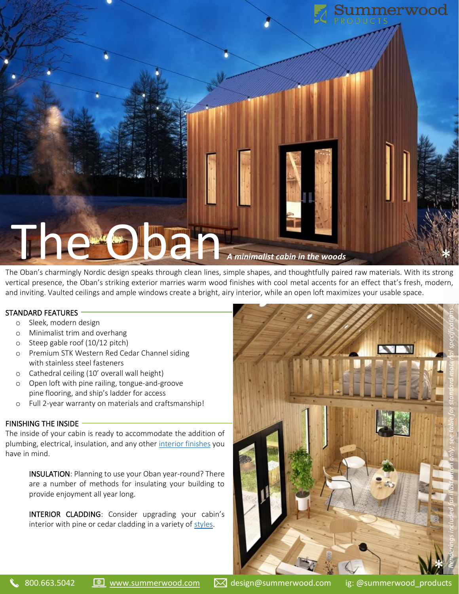

The Oban's charmingly Nordic design speaks through clean lines, simple shapes, and thoughtfully paired raw materials. With its strong vertical presence, the Oban's striking exterior marries warm wood finishes with cool metal accents for an effect that's fresh, modern, and inviting. Vaulted ceilings and ample windows create a bright, airy interior, while an open loft maximizes your usable space.

# STANDARD FEATURES

- o Sleek, modern design
- o Minimalist trim and overhang
- o Steep gable roof (10/12 pitch)
- o Premium STK Western Red Cedar Channel siding with stainless steel fasteners
- o Cathedral ceiling (10' overall wall height)
- o Open loft with pine railing, tongue-and-groove pine flooring, and ship's ladder for access
- o Full 2-year warranty on materials and craftsmanship!

### FINISHING THE INSIDE

The inside of your cabin is ready to accommodate the addition of plumbing, electrical, insulation, and any other [interior finishes](https://www.summerwood.com/information/interior-finishings) you have in mind.

> INSULATION: Planning to use your Oban year-round? There are a number of methods for insulating your building to provide enjoyment all year long.

> INTERIOR CLADDING: Consider upgrading your cabin's interior with pine or cedar cladding in a variety of [styles.](https://www.summerwood.com/information/siding)